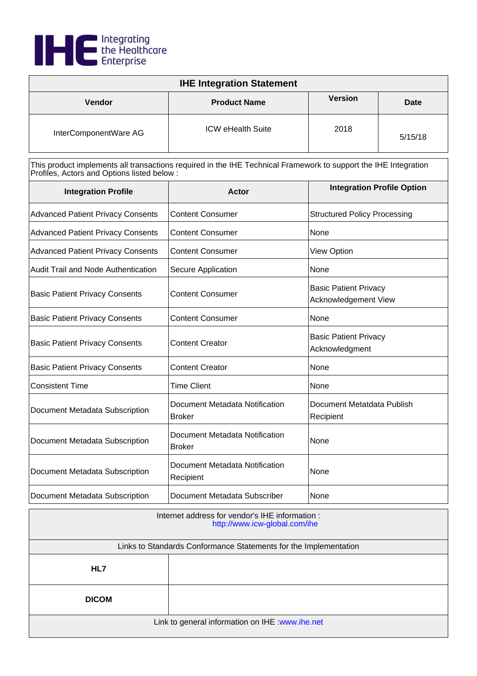

| <b>IHE Integration Statement</b> |                          |                |         |
|----------------------------------|--------------------------|----------------|---------|
| Vendor                           | <b>Product Name</b>      | <b>Version</b> | Date    |
| InterComponentWare AG            | <b>ICW eHealth Suite</b> | 2018           | 5/15/18 |

| <b>Integration Profile</b>               | Actor                                           | <b>Integration Profile Option</b>                    |
|------------------------------------------|-------------------------------------------------|------------------------------------------------------|
| <b>Advanced Patient Privacy Consents</b> | <b>Content Consumer</b>                         | <b>Structured Policy Processing</b>                  |
| <b>Advanced Patient Privacy Consents</b> | <b>Content Consumer</b>                         | None                                                 |
| <b>Advanced Patient Privacy Consents</b> | <b>Content Consumer</b>                         | <b>View Option</b>                                   |
| Audit Trail and Node Authentication      | Secure Application                              | None                                                 |
| <b>Basic Patient Privacy Consents</b>    | <b>Content Consumer</b>                         | <b>Basic Patient Privacy</b><br>Acknowledgement View |
| <b>Basic Patient Privacy Consents</b>    | <b>Content Consumer</b>                         | None                                                 |
| <b>Basic Patient Privacy Consents</b>    | <b>Content Creator</b>                          | <b>Basic Patient Privacy</b><br>Acknowledgment       |
| <b>Basic Patient Privacy Consents</b>    | <b>Content Creator</b>                          | None                                                 |
| <b>Consistent Time</b>                   | <b>Time Client</b>                              | None                                                 |
| Document Metadata Subscription           | Document Metadata Notification<br><b>Broker</b> | Document Metatdata Publish<br>Recipient              |
| Document Metadata Subscription           | Document Metadata Notification<br><b>Broker</b> | None                                                 |
| Document Metadata Subscription           | Document Metadata Notification<br>Recipient     | None                                                 |
| Document Metadata Subscription           | Document Metadata Subscriber                    | None                                                 |

| Internet address for vendor's IHE information :<br>http://www.icw-global.com/ihe |  |
|----------------------------------------------------------------------------------|--|
| Links to Standards Conformance Statements for the Implementation                 |  |
| HL7                                                                              |  |
| <b>DICOM</b>                                                                     |  |
| Link to general information on IHE : www.ihe.net                                 |  |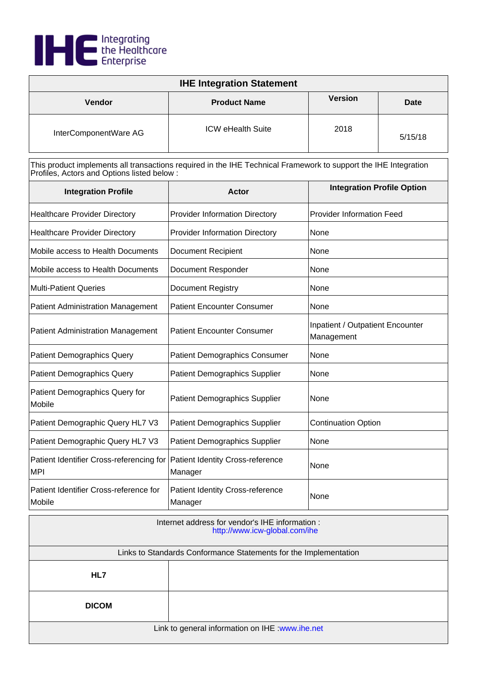

| <b>IHE Integration Statement</b> |                          |                |             |
|----------------------------------|--------------------------|----------------|-------------|
| Vendor                           | <b>Product Name</b>      | <b>Version</b> | <b>Date</b> |
| InterComponentWare AG            | <b>ICW eHealth Suite</b> | 2018           | 5/15/18     |

| <b>Integration Profile</b>                             | Actor                                              | <b>Integration Profile Option</b>              |
|--------------------------------------------------------|----------------------------------------------------|------------------------------------------------|
| <b>Healthcare Provider Directory</b>                   | <b>Provider Information Directory</b>              | <b>Provider Information Feed</b>               |
| <b>Healthcare Provider Directory</b>                   | <b>Provider Information Directory</b>              | None                                           |
| Mobile access to Health Documents                      | <b>Document Recipient</b>                          | None                                           |
| Mobile access to Health Documents                      | <b>Document Responder</b>                          | None                                           |
| <b>Multi-Patient Queries</b>                           | Document Registry                                  | None                                           |
| <b>Patient Administration Management</b>               | <b>Patient Encounter Consumer</b>                  | None                                           |
| <b>Patient Administration Management</b>               | <b>Patient Encounter Consumer</b>                  | Inpatient / Outpatient Encounter<br>Management |
| <b>Patient Demographics Query</b>                      | <b>Patient Demographics Consumer</b>               | None                                           |
| <b>Patient Demographics Query</b>                      | <b>Patient Demographics Supplier</b>               | None                                           |
| Patient Demographics Query for<br>Mobile               | <b>Patient Demographics Supplier</b>               | None                                           |
| Patient Demographic Query HL7 V3                       | <b>Patient Demographics Supplier</b>               | <b>Continuation Option</b>                     |
| Patient Demographic Query HL7 V3                       | <b>Patient Demographics Supplier</b>               | None                                           |
| Patient Identifier Cross-referencing for<br><b>MPI</b> | Patient Identity Cross-reference<br>Manager        | None                                           |
| Patient Identifier Cross-reference for<br>Mobile       | <b>Patient Identity Cross-reference</b><br>Manager | None                                           |

| Internet address for vendor's IHE information :<br>http://www.icw-global.com/ihe |  |
|----------------------------------------------------------------------------------|--|
| Links to Standards Conformance Statements for the Implementation                 |  |
| HL7                                                                              |  |
| <b>DICOM</b>                                                                     |  |
| Link to general information on IHE : www.ihe.net                                 |  |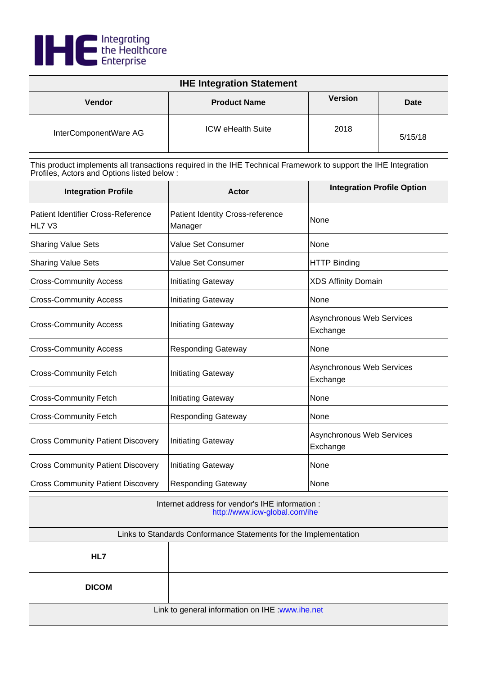

| <b>IHE Integration Statement</b> |                          |                |         |
|----------------------------------|--------------------------|----------------|---------|
| <b>Vendor</b>                    | <b>Product Name</b>      | <b>Version</b> | Date    |
| InterComponentWare AG            | <b>ICW eHealth Suite</b> | 2018           | 5/15/18 |

| <b>Integration Profile</b>                   | Actor                                              | <b>Integration Profile Option</b>            |
|----------------------------------------------|----------------------------------------------------|----------------------------------------------|
| Patient Identifier Cross-Reference<br>HL7 V3 | <b>Patient Identity Cross-reference</b><br>Manager | None                                         |
| <b>Sharing Value Sets</b>                    | Value Set Consumer                                 | None                                         |
| <b>Sharing Value Sets</b>                    | <b>Value Set Consumer</b>                          | <b>HTTP Binding</b>                          |
| <b>Cross-Community Access</b>                | <b>Initiating Gateway</b>                          | <b>XDS Affinity Domain</b>                   |
| <b>Cross-Community Access</b>                | <b>Initiating Gateway</b>                          | None                                         |
| <b>Cross-Community Access</b>                | <b>Initiating Gateway</b>                          | <b>Asynchronous Web Services</b><br>Exchange |
| <b>Cross-Community Access</b>                | <b>Responding Gateway</b>                          | None                                         |
| <b>Cross-Community Fetch</b>                 | <b>Initiating Gateway</b>                          | <b>Asynchronous Web Services</b><br>Exchange |
| <b>Cross-Community Fetch</b>                 | <b>Initiating Gateway</b>                          | None                                         |
| <b>Cross-Community Fetch</b>                 | <b>Responding Gateway</b>                          | None                                         |
| <b>Cross Community Patient Discovery</b>     | <b>Initiating Gateway</b>                          | Asynchronous Web Services<br>Exchange        |
| <b>Cross Community Patient Discovery</b>     | <b>Initiating Gateway</b>                          | None                                         |
| <b>Cross Community Patient Discovery</b>     | <b>Responding Gateway</b>                          | None                                         |

| Internet address for vendor's IHE information :<br>http://www.icw-global.com/ihe |  |
|----------------------------------------------------------------------------------|--|
| Links to Standards Conformance Statements for the Implementation                 |  |
| HL7                                                                              |  |
| <b>DICOM</b>                                                                     |  |
| Link to general information on IHE : www.ihe.net                                 |  |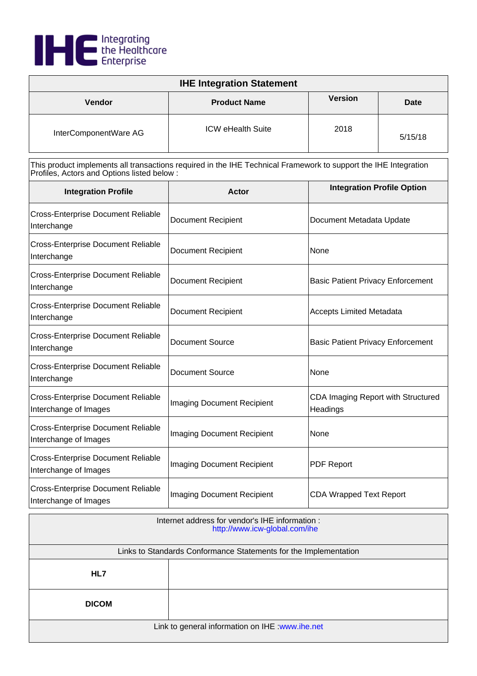

| <b>IHE Integration Statement</b> |                          |                |         |
|----------------------------------|--------------------------|----------------|---------|
| <b>Vendor</b>                    | <b>Product Name</b>      | <b>Version</b> | Date    |
| InterComponentWare AG            | <b>ICW eHealth Suite</b> | 2018           | 5/15/18 |

| <b>Integration Profile</b>                                         | Actor                             | <b>Integration Profile Option</b>              |
|--------------------------------------------------------------------|-----------------------------------|------------------------------------------------|
| <b>Cross-Enterprise Document Reliable</b><br>Interchange           | <b>Document Recipient</b>         | Document Metadata Update                       |
| <b>Cross-Enterprise Document Reliable</b><br>Interchange           | <b>Document Recipient</b>         | None                                           |
| <b>Cross-Enterprise Document Reliable</b><br>Interchange           | <b>Document Recipient</b>         | <b>Basic Patient Privacy Enforcement</b>       |
| <b>Cross-Enterprise Document Reliable</b><br>Interchange           | <b>Document Recipient</b>         | <b>Accepts Limited Metadata</b>                |
| <b>Cross-Enterprise Document Reliable</b><br>Interchange           | <b>Document Source</b>            | <b>Basic Patient Privacy Enforcement</b>       |
| <b>Cross-Enterprise Document Reliable</b><br>Interchange           | <b>Document Source</b>            | None                                           |
| <b>Cross-Enterprise Document Reliable</b><br>Interchange of Images | <b>Imaging Document Recipient</b> | CDA Imaging Report with Structured<br>Headings |
| <b>Cross-Enterprise Document Reliable</b><br>Interchange of Images | <b>Imaging Document Recipient</b> | None                                           |
| <b>Cross-Enterprise Document Reliable</b><br>Interchange of Images | Imaging Document Recipient        | <b>PDF Report</b>                              |
| <b>Cross-Enterprise Document Reliable</b><br>Interchange of Images | <b>Imaging Document Recipient</b> | <b>CDA Wrapped Text Report</b>                 |

| Internet address for vendor's IHE information :<br>http://www.icw-global.com/ihe |  |
|----------------------------------------------------------------------------------|--|
| Links to Standards Conformance Statements for the Implementation                 |  |
| HL7                                                                              |  |
| <b>DICOM</b>                                                                     |  |
| Link to general information on IHE : www.ihe.net                                 |  |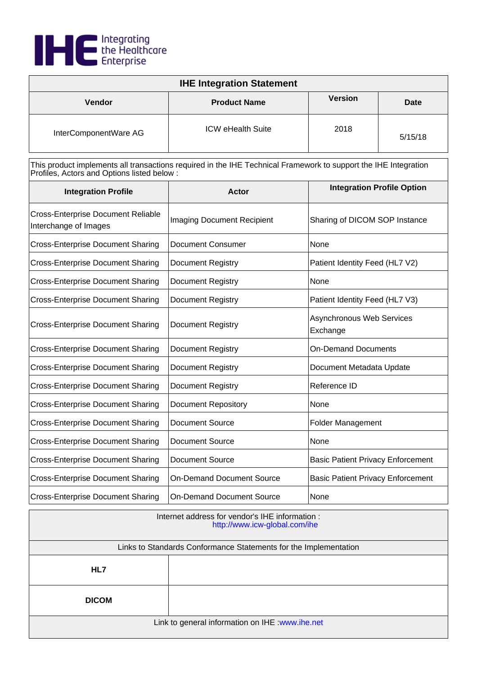

| <b>IHE Integration Statement</b> |                          |                |         |
|----------------------------------|--------------------------|----------------|---------|
| <b>Vendor</b>                    | <b>Product Name</b>      | <b>Version</b> | Date    |
| InterComponentWare AG            | <b>ICW eHealth Suite</b> | 2018           | 5/15/18 |

| <b>Integration Profile</b>                                         | <b>Actor</b>                      | <b>Integration Profile Option</b>        |
|--------------------------------------------------------------------|-----------------------------------|------------------------------------------|
| <b>Cross-Enterprise Document Reliable</b><br>Interchange of Images | <b>Imaging Document Recipient</b> | Sharing of DICOM SOP Instance            |
| <b>Cross-Enterprise Document Sharing</b>                           | Document Consumer                 | None                                     |
| <b>Cross-Enterprise Document Sharing</b>                           | <b>Document Registry</b>          | Patient Identity Feed (HL7 V2)           |
| <b>Cross-Enterprise Document Sharing</b>                           | <b>Document Registry</b>          | None                                     |
| <b>Cross-Enterprise Document Sharing</b>                           | <b>Document Registry</b>          | Patient Identity Feed (HL7 V3)           |
| <b>Cross-Enterprise Document Sharing</b>                           | <b>Document Registry</b>          | Asynchronous Web Services<br>Exchange    |
| <b>Cross-Enterprise Document Sharing</b>                           | <b>Document Registry</b>          | <b>On-Demand Documents</b>               |
| <b>Cross-Enterprise Document Sharing</b>                           | <b>Document Registry</b>          | Document Metadata Update                 |
| <b>Cross-Enterprise Document Sharing</b>                           | <b>Document Registry</b>          | Reference ID                             |
| <b>Cross-Enterprise Document Sharing</b>                           | <b>Document Repository</b>        | None                                     |
| <b>Cross-Enterprise Document Sharing</b>                           | <b>Document Source</b>            | <b>Folder Management</b>                 |
| <b>Cross-Enterprise Document Sharing</b>                           | <b>Document Source</b>            | None                                     |
| <b>Cross-Enterprise Document Sharing</b>                           | <b>Document Source</b>            | <b>Basic Patient Privacy Enforcement</b> |
| <b>Cross-Enterprise Document Sharing</b>                           | <b>On-Demand Document Source</b>  | <b>Basic Patient Privacy Enforcement</b> |
| <b>Cross-Enterprise Document Sharing</b>                           | <b>On-Demand Document Source</b>  | None                                     |

| Internet address for vendor's IHE information :<br>http://www.icw-global.com/ihe |  |  |
|----------------------------------------------------------------------------------|--|--|
| Links to Standards Conformance Statements for the Implementation                 |  |  |
| HL7                                                                              |  |  |
| <b>DICOM</b>                                                                     |  |  |
| Link to general information on IHE : www.ihe.net                                 |  |  |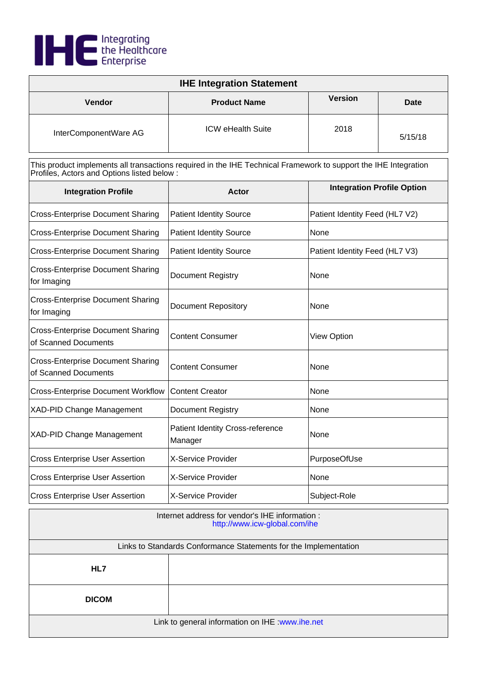

| <b>IHE Integration Statement</b>                                                                                                                               |                          |                |         |
|----------------------------------------------------------------------------------------------------------------------------------------------------------------|--------------------------|----------------|---------|
| Vendor                                                                                                                                                         | <b>Product Name</b>      | <b>Version</b> | Date    |
| InterComponentWare AG                                                                                                                                          | <b>ICW eHealth Suite</b> | 2018           | 5/15/18 |
| This product implements all transactions required in the IHE Technical Framework to support the IHE Integration<br>Profiles, Actors and Options listed below : |                          |                |         |

| <b>Integration Profile</b>                                       | Actor                                              | <b>Integration Profile Option</b> |
|------------------------------------------------------------------|----------------------------------------------------|-----------------------------------|
| <b>Cross-Enterprise Document Sharing</b>                         | <b>Patient Identity Source</b>                     | Patient Identity Feed (HL7 V2)    |
| <b>Cross-Enterprise Document Sharing</b>                         | <b>Patient Identity Source</b>                     | None                              |
| <b>Cross-Enterprise Document Sharing</b>                         | <b>Patient Identity Source</b>                     | Patient Identity Feed (HL7 V3)    |
| <b>Cross-Enterprise Document Sharing</b><br>for Imaging          | <b>Document Registry</b>                           | None                              |
| <b>Cross-Enterprise Document Sharing</b><br>for Imaging          | <b>Document Repository</b>                         | None                              |
| <b>Cross-Enterprise Document Sharing</b><br>of Scanned Documents | <b>Content Consumer</b>                            | <b>View Option</b>                |
| <b>Cross-Enterprise Document Sharing</b><br>of Scanned Documents | <b>Content Consumer</b>                            | None                              |
| <b>Cross-Enterprise Document Workflow</b>                        | <b>Content Creator</b>                             | None                              |
| <b>XAD-PID Change Management</b>                                 | <b>Document Registry</b>                           | None                              |
| <b>XAD-PID Change Management</b>                                 | <b>Patient Identity Cross-reference</b><br>Manager | None                              |
| <b>Cross Enterprise User Assertion</b>                           | X-Service Provider                                 | PurposeOfUse                      |
| <b>Cross Enterprise User Assertion</b>                           | <b>X-Service Provider</b>                          | None                              |
| <b>Cross Enterprise User Assertion</b>                           | <b>X-Service Provider</b>                          | Subject-Role                      |

| Internet address for vendor's IHE information :<br>http://www.icw-global.com/ihe |  |  |
|----------------------------------------------------------------------------------|--|--|
| Links to Standards Conformance Statements for the Implementation                 |  |  |
| HL7                                                                              |  |  |
| <b>DICOM</b>                                                                     |  |  |
| Link to general information on IHE : www.ihe.net                                 |  |  |